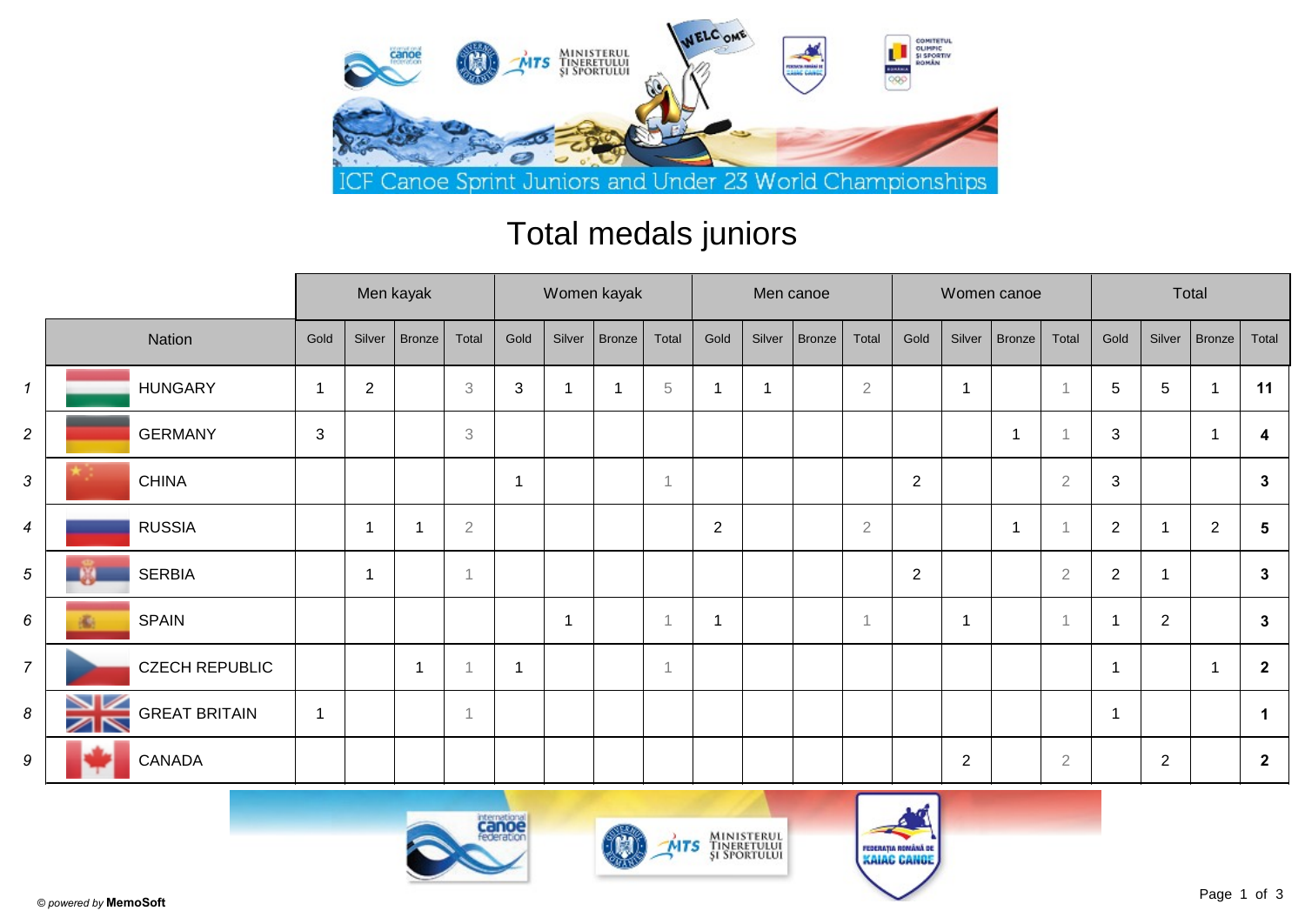

## Total medals juniors

|                  |                                  |                         | Men kayak      |                          |                           |                | Women kayak    |        |                          |                         |        | Men canoe     |                |                |                         | Women canoe    |                | Total                   |                |                |                |  |
|------------------|----------------------------------|-------------------------|----------------|--------------------------|---------------------------|----------------|----------------|--------|--------------------------|-------------------------|--------|---------------|----------------|----------------|-------------------------|----------------|----------------|-------------------------|----------------|----------------|----------------|--|
|                  | Nation                           | Gold                    | Silver         | Bronze                   | Total                     | Gold           | Silver         | Bronze | Total                    | Gold                    | Silver | <b>Bronze</b> | Total          | Gold           | Silver                  | Bronze         | Total          | Gold                    | Silver         | $ $ Bronze $ $ | Total          |  |
| $\mathbf{1}$     | <b>HUNGARY</b>                   | $\overline{\mathbf{A}}$ | $\overline{c}$ |                          | $\ensuremath{\mathsf{3}}$ | $\mathfrak{S}$ | -1             |        | 5                        | -1                      |        |               | $\sqrt{2}$     |                | -1                      |                |                | 5                       | $\,$ 5 $\,$    |                | 11             |  |
| $\overline{a}$   | <b>GERMANY</b>                   | 3                       |                |                          | $\ensuremath{\mathsf{3}}$ |                |                |        |                          |                         |        |               |                |                |                         | -1             |                | $\sqrt{3}$              |                |                | 4              |  |
| 3                | <b>CHINA</b>                     |                         |                |                          |                           | $\mathbf{1}$   |                |        | $\overline{\phantom{a}}$ |                         |        |               |                | $\overline{2}$ |                         |                | $\overline{2}$ | $\sqrt{3}$              |                |                | $\mathbf{3}$   |  |
| $\boldsymbol{4}$ | <b>RUSSIA</b>                    |                         | 1              | $\overline{\phantom{a}}$ | $\overline{2}$            |                |                |        |                          | $\overline{2}$          |        |               | $\overline{2}$ |                |                         | $\overline{1}$ |                | $\sqrt{2}$              |                | $\mathbf{2}$   | 5              |  |
| 5                | <b>SERBIA</b>                    |                         | 1              |                          |                           |                |                |        |                          |                         |        |               |                | $\overline{2}$ |                         |                | $\overline{2}$ | $\overline{2}$          |                |                | $\mathbf{3}$   |  |
| 6                | <b>SPAIN</b>                     |                         |                |                          |                           |                | $\overline{1}$ |        | $\overline{1}$           | $\overline{\mathbf{1}}$ |        |               | $\overline{1}$ |                | $\overline{\mathbf{1}}$ |                | $\overline{1}$ | $\overline{\mathbf{1}}$ | $\overline{2}$ |                | $\mathbf{3}$   |  |
| $\overline{7}$   | <b>CZECH REPUBLIC</b>            |                         |                | -1                       |                           | $\mathbf{1}$   |                |        | 1                        |                         |        |               |                |                |                         |                |                | $\overline{\mathbf{1}}$ |                |                | $\overline{2}$ |  |
| 8                | <b>GREAT BRITAIN</b><br>$\times$ | $\overline{1}$          |                |                          |                           |                |                |        |                          |                         |        |               |                |                |                         |                |                | $\overline{\mathbf{1}}$ |                |                | -1             |  |
| 9                | CANADA                           |                         |                |                          |                           |                |                |        |                          |                         |        |               |                |                | 2                       |                | $\overline{2}$ |                         | $\overline{2}$ |                | $\mathbf{2}$   |  |





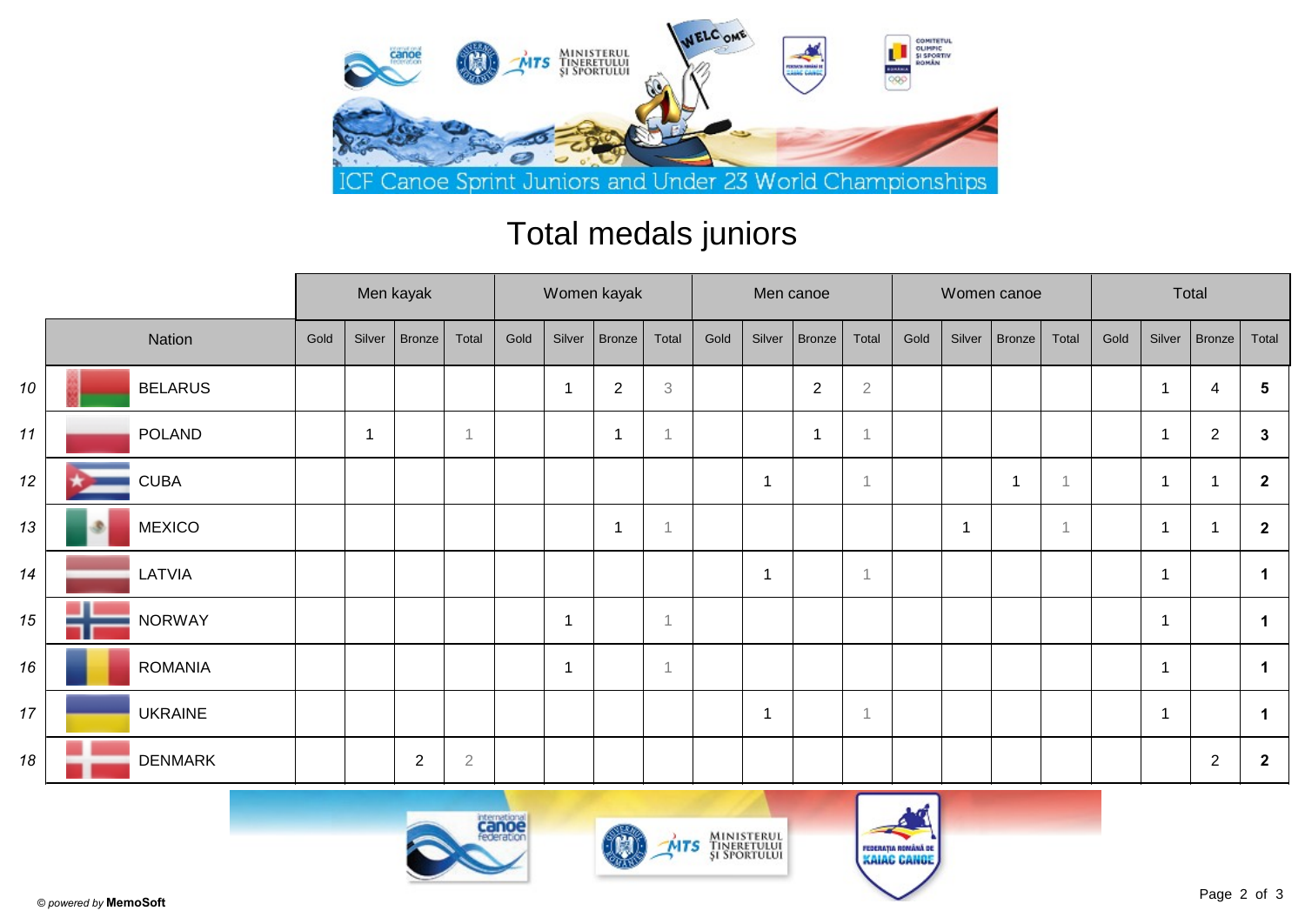

## Total medals juniors

|    |                | Men kayak |        |        |                | Women kayak |                |                |                |      |                         | Men canoe      |                |      |                | Women canoe |                | Total |        |                |                      |
|----|----------------|-----------|--------|--------|----------------|-------------|----------------|----------------|----------------|------|-------------------------|----------------|----------------|------|----------------|-------------|----------------|-------|--------|----------------|----------------------|
|    | Nation         | Gold      | Silver | Bronze | Total          | Gold        | Silver         | Bronze         | Total          | Gold | Silver                  | <b>Bronze</b>  | Total          | Gold | Silver         | Bronze      | Total          | Gold  | Silver | Bronze         | Total                |
| 10 | <b>BELARUS</b> |           |        |        |                |             | $\overline{1}$ | $\overline{2}$ | 3              |      |                         | $\overline{2}$ | $\sqrt{2}$     |      |                |             |                |       | -1     | 4              | 5                    |
| 11 | <b>POLAND</b>  |           |        |        | -1             |             |                | -1             |                |      |                         |                | $\mathcal{L}$  |      |                |             |                |       | 1      | $\overline{2}$ | $\mathbf{3}$         |
| 12 | <b>CUBA</b>    |           |        |        |                |             |                |                |                |      | -1                      |                | $\overline{1}$ |      |                | 1           |                |       | 1      |                | $\overline{2}$       |
| 13 | <b>MEXICO</b>  |           |        |        |                |             |                | $\mathbf 1$    |                |      |                         |                |                |      | $\overline{1}$ |             | $\overline{1}$ |       | 1      | r,             | $\overline{2}$       |
| 14 | LATVIA         |           |        |        |                |             |                |                |                |      | -1                      |                | $\mathbf 1$    |      |                |             |                |       | 1      |                | -1                   |
| 15 | <b>NORWAY</b>  |           |        |        |                |             | 1              |                | $\overline{A}$ |      |                         |                |                |      |                |             |                |       | 1      |                |                      |
| 16 | <b>ROMANIA</b> |           |        |        |                |             | 1              |                | $\overline{1}$ |      |                         |                |                |      |                |             |                |       | 1      |                | $\blacktriangleleft$ |
| 17 | <b>UKRAINE</b> |           |        |        |                |             |                |                |                |      | $\overline{\mathbf{1}}$ |                | 1              |      |                |             |                |       | 1      |                |                      |
| 18 | <b>DENMARK</b> |           |        | 2      | $\overline{2}$ |             |                |                |                |      |                         |                |                |      |                |             |                |       |        | $\sqrt{2}$     | $\overline{2}$       |